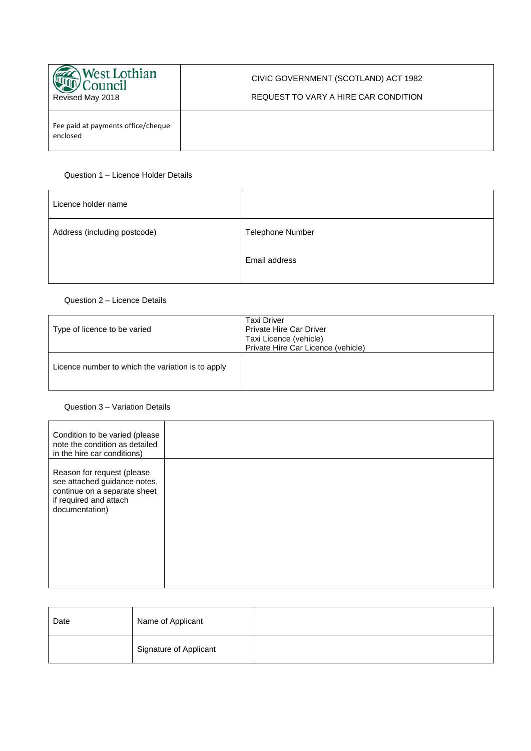| <b>West Lothian</b><br>`ouncil<br>Revised May 2018 | CIVIC GOVERNMENT (SCOTLAND) ACT 1982<br>REQUEST TO VARY A HIRE CAR CONDITION |
|----------------------------------------------------|------------------------------------------------------------------------------|
| Fee paid at payments office/cheque<br>enclosed     |                                                                              |

#### Question 1 – Licence Holder Details

| Telephone Number |
|------------------|
| Email address    |
|                  |

## Question 2 – Licence Details

| Type of licence to be varied                      | <b>Taxi Driver</b><br>Private Hire Car Driver<br>Taxi Licence (vehicle)<br>Private Hire Car Licence (vehicle) |
|---------------------------------------------------|---------------------------------------------------------------------------------------------------------------|
| Licence number to which the variation is to apply |                                                                                                               |

# Question 3 – Variation Details

| Condition to be varied (please<br>note the condition as detailed<br>in the hire car conditions)<br>Reason for request (please |                              |  |  |
|-------------------------------------------------------------------------------------------------------------------------------|------------------------------|--|--|
|                                                                                                                               |                              |  |  |
| continue on a separate sheet<br>if required and attach<br>documentation)                                                      | see attached guidance notes, |  |  |

| Date | Name of Applicant      |  |
|------|------------------------|--|
|      | Signature of Applicant |  |